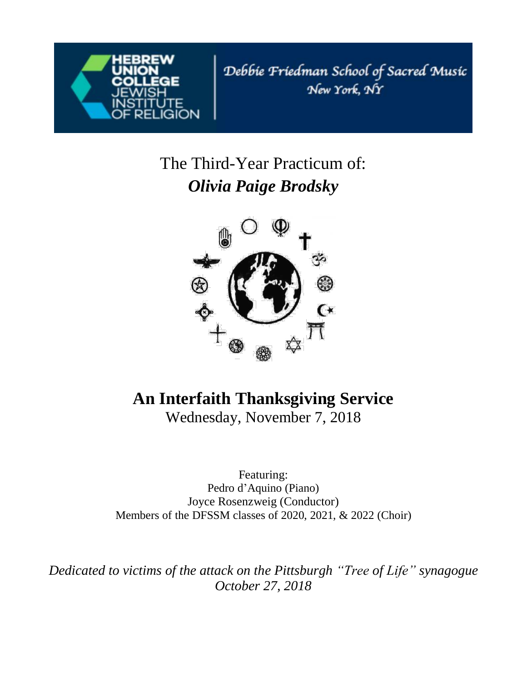

Debbie Friedman School of Sacred Music New York, NY

# The Third-Year Practicum of: *Olivia Paige Brodsky*



# **An Interfaith Thanksgiving Service**

Wednesday, November 7, 2018

Featuring: Pedro d'Aquino (Piano) Joyce Rosenzweig (Conductor) Members of the DFSSM classes of 2020, 2021, & 2022 (Choir)

*Dedicated to victims of the attack on the Pittsburgh "Tree of Life" synagogue October 27, 2018*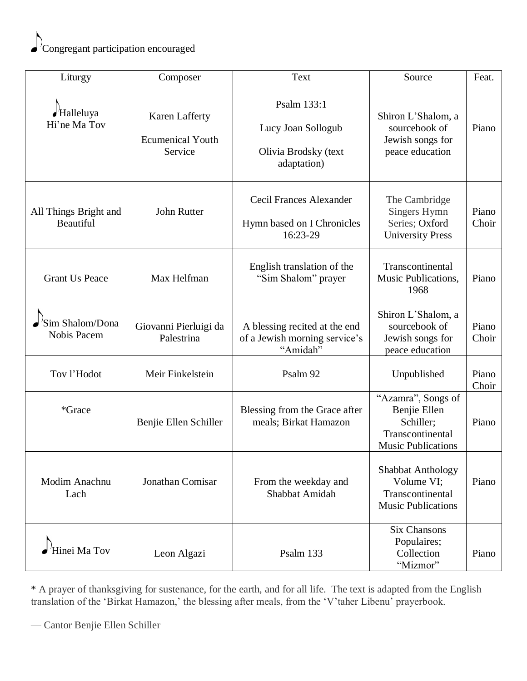

| Liturgy                                    | Composer                                             | Text                                                                       | Source                                                                                           | Feat.          |
|--------------------------------------------|------------------------------------------------------|----------------------------------------------------------------------------|--------------------------------------------------------------------------------------------------|----------------|
| $\blacktriangle$ Halleluya<br>Hi'ne Ma Tov | Karen Lafferty<br><b>Ecumenical Youth</b><br>Service | Psalm 133:1<br>Lucy Joan Sollogub<br>Olivia Brodsky (text<br>adaptation)   | Shiron L'Shalom, a<br>sourcebook of<br>Jewish songs for<br>peace education                       | Piano          |
| All Things Bright and<br>Beautiful         | John Rutter                                          | <b>Cecil Frances Alexander</b><br>Hymn based on I Chronicles<br>16:23-29   | The Cambridge<br>Singers Hymn<br>Series; Oxford<br><b>University Press</b>                       | Piano<br>Choir |
| <b>Grant Us Peace</b>                      | Max Helfman                                          | English translation of the<br>"Sim Shalom" prayer                          | Transcontinental<br>Music Publications,<br>1968                                                  | Piano          |
| 'Sim Shalom/Dona<br><b>Nobis Pacem</b>     | Giovanni Pierluigi da<br>Palestrina                  | A blessing recited at the end<br>of a Jewish morning service's<br>"Amidah" | Shiron L'Shalom, a<br>sourcebook of<br>Jewish songs for<br>peace education                       | Piano<br>Choir |
| Tov l'Hodot                                | Meir Finkelstein                                     | Psalm 92                                                                   | Unpublished                                                                                      | Piano<br>Choir |
| *Grace                                     | Benjie Ellen Schiller                                | Blessing from the Grace after<br>meals; Birkat Hamazon                     | "Azamra", Songs of<br>Benjie Ellen<br>Schiller;<br>Transcontinental<br><b>Music Publications</b> | Piano          |
| Modim Anachnu<br>Lach                      | Jonathan Comisar                                     | From the weekday and<br>Shabbat Amidah                                     | <b>Shabbat Anthology</b><br>Volume VI;<br>Transcontinental<br><b>Music Publications</b>          | Piano          |
| 'Hinei Ma Tov                              | Leon Algazi                                          | Psalm 133                                                                  | <b>Six Chansons</b><br>Populaires;<br>Collection<br>"Mizmor"                                     | Piano          |

\* A prayer of thanksgiving for sustenance, for the earth, and for all life. The text is adapted from the English translation of the 'Birkat Hamazon,' the blessing after meals, from the 'V'taher Libenu' prayerbook.

— Cantor Benjie Ellen Schiller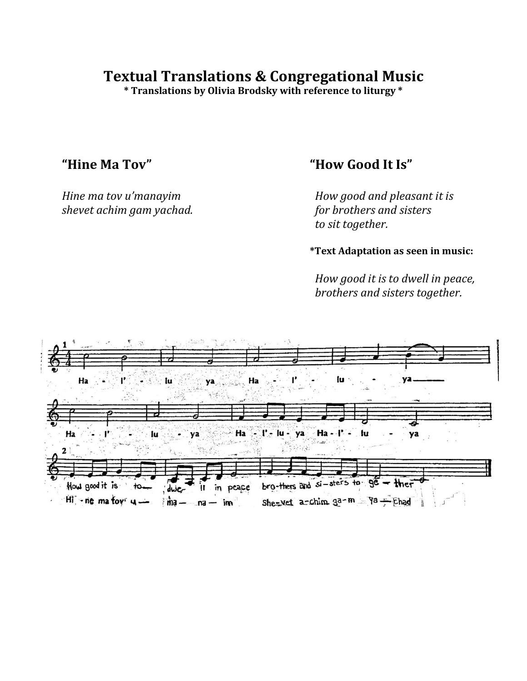# **Textual Translations & Congregational Music**

**\* Translations by Olivia Brodsky with reference to liturgy \***

*shevet achim gam yachad.* 

## **"Hine Ma Tov" "How Good It Is"**

*Hine ma tov u'manayim*<br> *shevet achim gam yachad.*<br> *for brothers and sisters to sit together.*

**\*Text Adaptation as seen in music:**

 *How good it is to dwell in peace, brothers and sisters together.*

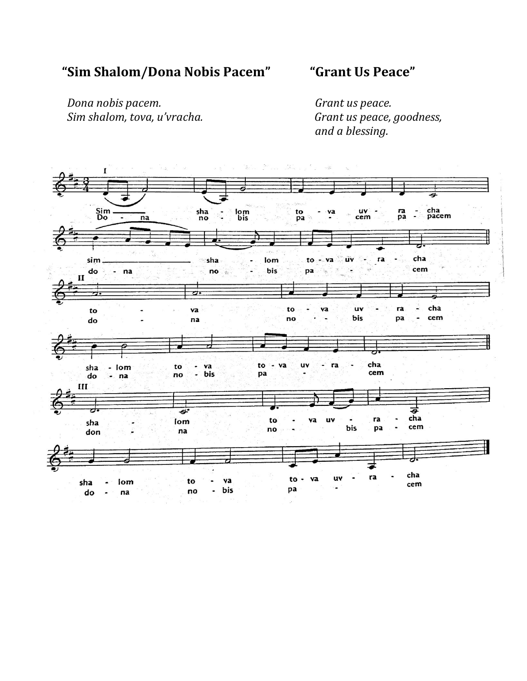# **"Sim Shalom/Dona Nobis Pacem" "Grant Us Peace"**

 *Dona nobis pacem. Grant us peace. Sim shalom, tova, u'vracha. Grant us peace, goodness,*

 *and a blessing.*

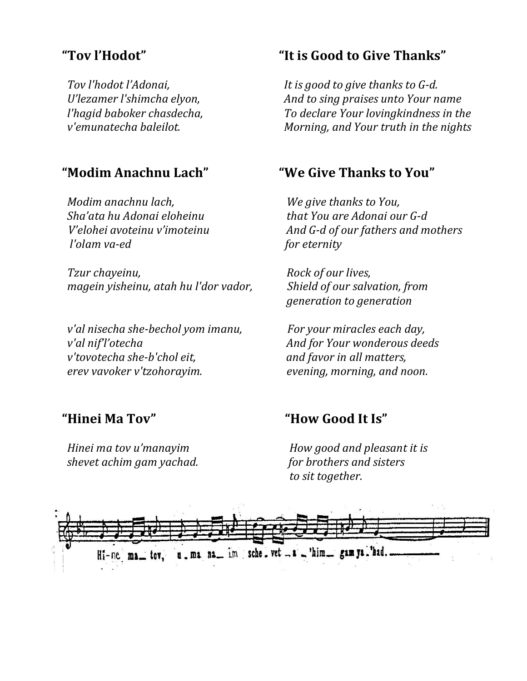*Modim anachnu lach, We give thanks to You, l'olam va-ed* for *eternity* 

*Tzur chayeinu,*  $Rock of our lives,$  *magein yisheinu, atah hu l'dor vador, Shield of our salvation, from*

 *v'al nisecha she-bechol yom imanu, For your miracles each day, v'al nif''otecha* And for Your wonderous deeds  *v'tovotecha she-b'chol eit, and favor in all matters, erev vavoker v'tzohorayim. evening, morning, and noon.*

 *shevet achim gam yachad. for brothers and sisters*

# **"Tov l'Hodot" "It is Good to Give Thanks"**

 *Tov l'hodot l'Adonai, It is good to give thanks to G-d. U*'*lezamer l'shimcha elyon,* And *to sing praises unto Your name l'hagid baboker chasdecha, To declare Your lovingkindness in the v'emunatecha baleilot. Morning, and Your truth in the nights*

### **"Modim Anachnu Lach" "We Give Thanks to You"**

 *Sha'ata hu Adonai eloheinu that You are Adonai our G-d V'elohei avoteinu v'imoteinu And G-d of our fathers and mothers*

 *generation to generation*

### **"Hinei Ma Tov" "How Good It Is"**

 *Hinei ma tov u'manayim How good and pleasant it is to sit together.*